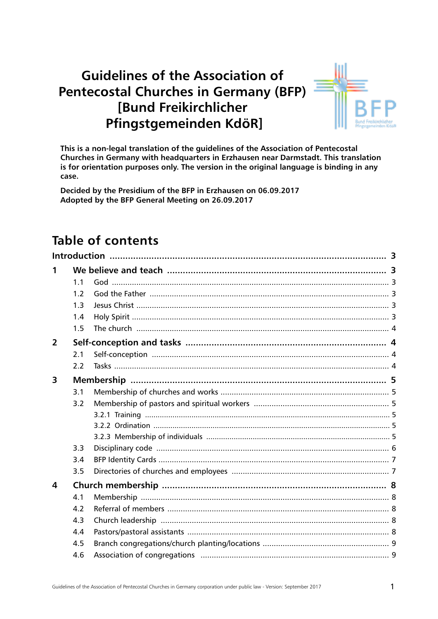# **Guidelines of the Association of Pentecostal Churches in Germany (BFP) [Bund Freikirchlicher** Pfingstgemeinden KdöR]



This is a non-legal translation of the guidelines of the Association of Pentecostal Churches in Germany with headquarters in Erzhausen near Darmstadt. This translation is for orientation purposes only. The version in the original language is binding in any case.

Decided by the Presidium of the BFP in Erzhausen on 06.09.2017 Adopted by the BFP General Meeting on 26.09.2017

# Table of contents

| 1              |                |  |  |  |  |  |  |
|----------------|----------------|--|--|--|--|--|--|
|                | 1 <sub>1</sub> |  |  |  |  |  |  |
|                | 1.2            |  |  |  |  |  |  |
|                | 1.3            |  |  |  |  |  |  |
|                | 1.4            |  |  |  |  |  |  |
|                | 1.5            |  |  |  |  |  |  |
| $\overline{2}$ |                |  |  |  |  |  |  |
|                | 2.1            |  |  |  |  |  |  |
|                | 2.2            |  |  |  |  |  |  |
| 3              |                |  |  |  |  |  |  |
|                | 3.1            |  |  |  |  |  |  |
|                | 3.2            |  |  |  |  |  |  |
|                |                |  |  |  |  |  |  |
|                |                |  |  |  |  |  |  |
|                |                |  |  |  |  |  |  |
|                | 3.3            |  |  |  |  |  |  |
|                | 3.4            |  |  |  |  |  |  |
|                | 3.5            |  |  |  |  |  |  |
| 4              |                |  |  |  |  |  |  |
|                | 4.1            |  |  |  |  |  |  |
|                | 4.2            |  |  |  |  |  |  |
|                | 4.3            |  |  |  |  |  |  |
|                | 4.4            |  |  |  |  |  |  |
|                | 4.5            |  |  |  |  |  |  |
|                | 4.6            |  |  |  |  |  |  |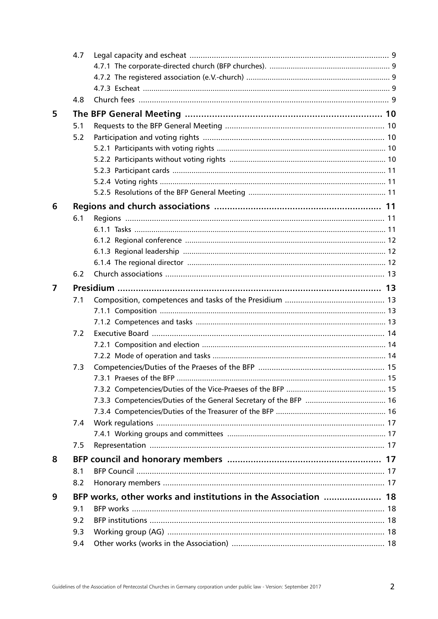|                         | 4.7                                                            |                          |    |  |  |  |  |
|-------------------------|----------------------------------------------------------------|--------------------------|----|--|--|--|--|
|                         |                                                                |                          |    |  |  |  |  |
|                         |                                                                |                          |    |  |  |  |  |
|                         |                                                                |                          |    |  |  |  |  |
|                         | 4.8                                                            |                          |    |  |  |  |  |
| 5                       |                                                                |                          |    |  |  |  |  |
|                         | 5.1                                                            |                          |    |  |  |  |  |
|                         | 5.2                                                            |                          |    |  |  |  |  |
|                         |                                                                |                          |    |  |  |  |  |
|                         |                                                                |                          |    |  |  |  |  |
|                         |                                                                |                          |    |  |  |  |  |
|                         |                                                                |                          |    |  |  |  |  |
|                         |                                                                |                          |    |  |  |  |  |
| 6                       |                                                                |                          |    |  |  |  |  |
|                         | 6.1                                                            |                          |    |  |  |  |  |
|                         |                                                                |                          |    |  |  |  |  |
|                         |                                                                |                          |    |  |  |  |  |
|                         |                                                                |                          |    |  |  |  |  |
|                         |                                                                |                          |    |  |  |  |  |
|                         | 6.2                                                            |                          |    |  |  |  |  |
| $\overline{\mathbf{z}}$ |                                                                |                          |    |  |  |  |  |
|                         | 7.1                                                            |                          |    |  |  |  |  |
|                         |                                                                |                          |    |  |  |  |  |
|                         |                                                                |                          |    |  |  |  |  |
|                         | 7.2                                                            |                          |    |  |  |  |  |
|                         |                                                                |                          |    |  |  |  |  |
|                         |                                                                |                          |    |  |  |  |  |
|                         | 7.3                                                            |                          |    |  |  |  |  |
|                         |                                                                | 7.3.1 Praeses of the BFP | 15 |  |  |  |  |
|                         |                                                                |                          |    |  |  |  |  |
|                         |                                                                |                          |    |  |  |  |  |
|                         |                                                                |                          |    |  |  |  |  |
|                         | 7.4                                                            |                          |    |  |  |  |  |
|                         |                                                                |                          |    |  |  |  |  |
|                         | 7.5                                                            |                          |    |  |  |  |  |
| 8                       |                                                                |                          |    |  |  |  |  |
|                         | 8.1                                                            |                          |    |  |  |  |  |
|                         | 8.2                                                            |                          |    |  |  |  |  |
| 9                       | BFP works, other works and institutions in the Association  18 |                          |    |  |  |  |  |
|                         |                                                                |                          |    |  |  |  |  |
|                         | 9.2                                                            |                          |    |  |  |  |  |
|                         | 9.3                                                            |                          |    |  |  |  |  |
|                         | 9.4                                                            |                          |    |  |  |  |  |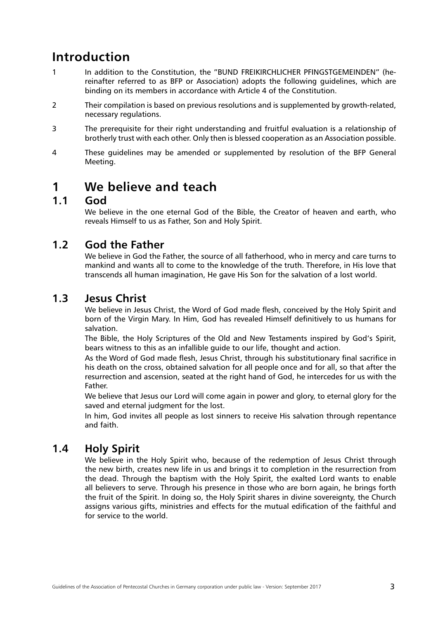# <span id="page-2-0"></span>**Introduction**

- 1 In addition to the Constitution, the "BUND FREIKIRCHLICHER PFINGSTGEMEINDEN" (hereinafter referred to as BFP or Association) adopts the following guidelines, which are binding on its members in accordance with Article 4 of the Constitution.
- 2 Their compilation is based on previous resolutions and is supplemented by growth-related, necessary regulations.
- 3 The prerequisite for their right understanding and fruitful evaluation is a relationship of brotherly trust with each other. Only then is blessed cooperation as an Association possible.
- 4 These guidelines may be amended or supplemented by resolution of the BFP General Meeting.

## **1 We believe and teach**

### **1.1 God**

We believe in the one eternal God of the Bible, the Creator of heaven and earth, who reveals Himself to us as Father, Son and Holy Spirit.

## **1.2 God the Father**

We believe in God the Father, the source of all fatherhood, who in mercy and care turns to mankind and wants all to come to the knowledge of the truth. Therefore, in His love that transcends all human imagination, He gave His Son for the salvation of a lost world.

#### **1.3 Jesus Christ**

We believe in Jesus Christ, the Word of God made flesh, conceived by the Holy Spirit and born of the Virgin Mary. In Him, God has revealed Himself definitively to us humans for salvation.

The Bible, the Holy Scriptures of the Old and New Testaments inspired by God's Spirit, bears witness to this as an infallible guide to our life, thought and action.

As the Word of God made flesh, Jesus Christ, through his substitutionary final sacrifice in his death on the cross, obtained salvation for all people once and for all, so that after the resurrection and ascension, seated at the right hand of God, he intercedes for us with the Father.

We believe that Jesus our Lord will come again in power and glory, to eternal glory for the saved and eternal judgment for the lost.

In him, God invites all people as lost sinners to receive His salvation through repentance and faith.

## **1.4 Holy Spirit**

We believe in the Holy Spirit who, because of the redemption of Jesus Christ through the new birth, creates new life in us and brings it to completion in the resurrection from the dead. Through the baptism with the Holy Spirit, the exalted Lord wants to enable all believers to serve. Through his presence in those who are born again, he brings forth the fruit of the Spirit. In doing so, the Holy Spirit shares in divine sovereignty, the Church assigns various gifts, ministries and effects for the mutual edification of the faithful and for service to the world.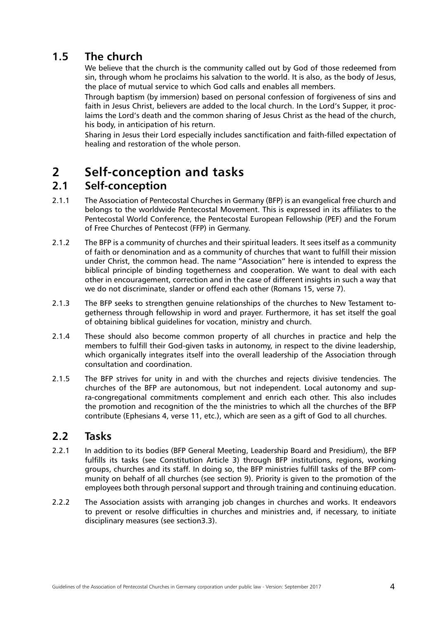## <span id="page-3-0"></span>**1.5 The church**

We believe that the church is the community called out by God of those redeemed from sin, through whom he proclaims his salvation to the world. It is also, as the body of Jesus, the place of mutual service to which God calls and enables all members.

Through baptism (by immersion) based on personal confession of forgiveness of sins and faith in Jesus Christ, believers are added to the local church. In the Lord's Supper, it proclaims the Lord's death and the common sharing of Jesus Christ as the head of the church, his body, in anticipation of his return.

Sharing in Jesus their Lord especially includes sanctification and faith-filled expectation of healing and restoration of the whole person.

## **2 Self-conception and tasks**

## **2.1 Self-conception**

- 2.1.1 The Association of Pentecostal Churches in Germany (BFP) is an evangelical free church and belongs to the worldwide Pentecostal Movement. This is expressed in its affiliates to the Pentecostal World Conference, the Pentecostal European Fellowship (PEF) and the Forum of Free Churches of Pentecost (FFP) in Germany.
- 2.1.2 The BFP is a community of churches and their spiritual leaders. It sees itself as a community of faith or denomination and as a community of churches that want to fulfill their mission under Christ, the common head. The name "Association" here is intended to express the biblical principle of binding togetherness and cooperation. We want to deal with each other in encouragement, correction and in the case of different insights in such a way that we do not discriminate, slander or offend each other (Romans 15, verse 7).
- 2.1.3 The BFP seeks to strengthen genuine relationships of the churches to New Testament togetherness through fellowship in word and prayer. Furthermore, it has set itself the goal of obtaining biblical guidelines for vocation, ministry and church.
- 2.1.4 These should also become common property of all churches in practice and help the members to fulfill their God-given tasks in autonomy, in respect to the divine leadership, which organically integrates itself into the overall leadership of the Association through consultation and coordination.
- 2.1.5 The BFP strives for unity in and with the churches and rejects divisive tendencies. The churches of the BFP are autonomous, but not independent. Local autonomy and supra-congregational commitments complement and enrich each other. This also includes the promotion and recognition of the the ministries to which all the churches of the BFP contribute (Ephesians 4, verse 11, etc.), which are seen as a gift of God to all churches.

## **2.2 Tasks**

- 2.2.1 In addition to its bodies (BFP General Meeting, Leadership Board and Presidium), the BFP fulfills its tasks (see Constitution Article 3) through BFP institutions, regions, working groups, churches and its staff. In doing so, the BFP ministries fulfill tasks of the BFP community on behalf of all churches (see section 9). Priority is given to the promotion of the employees both through personal support and through training and continuing education.
- 2.2.2 The Association assists with arranging job changes in churches and works. It endeavors to prevent or resolve difficulties in churches and ministries and, if necessary, to initiate disciplinary measures (see section3.3).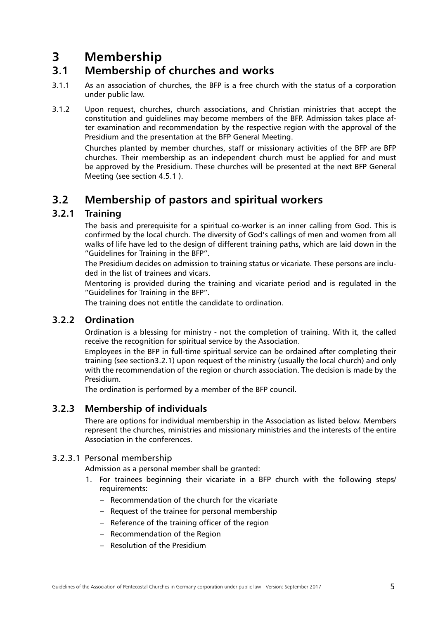## <span id="page-4-0"></span>**3 Membership**

## **3.1 Membership of churches and works**

- 3.1.1 As an association of churches, the BFP is a free church with the status of a corporation under public law.
- 3.1.2 Upon request, churches, church associations, and Christian ministries that accept the constitution and guidelines may become members of the BFP. Admission takes place after examination and recommendation by the respective region with the approval of the Presidium and the presentation at the BFP General Meeting.

Churches planted by member churches, staff or missionary activities of the BFP are BFP churches. Their membership as an independent church must be applied for and must be approved by the Presidium. These churches will be presented at the next BFP General Meeting [\(see section 4.5.1](l ) ).

## **3.2 Membership of pastors and spiritual workers**

#### **3.2.1 Training**

The basis and prerequisite for a spiritual co-worker is an inner calling from God. This is confirmed by the local church. The diversity of God's callings of men and women from all walks of life have led to the design of different training paths, which are laid down in the "Guidelines for Training in the BFP".

The Presidium decides on admission to training status or vicariate. These persons are included in the list of trainees and vicars.

Mentoring is provided during the training and vicariate period and is regulated in the "Guidelines for Training in the BFP".

The training does not entitle the candidate to ordination.

### **3.2.2 Ordination**

Ordination is a blessing for ministry - not the completion of training. With it, the called receive the recognition for spiritual service by the Association.

Employees in the BFP in full-time spiritual service can be ordained after completing their training (see section3.2.1) upon request of the ministry (usually the local church) and only with the recommendation of the region or church association. The decision is made by the Presidium.

The ordination is performed by a member of the BFP council.

#### **3.2.3 Membership of individuals**

There are options for individual membership in the Association as listed below. Members represent the churches, ministries and missionary ministries and the interests of the entire Association in the conferences.

#### 3.2.3.1 Personal membership

Admission as a personal member shall be granted:

- 1. For trainees beginning their vicariate in a BFP church with the following steps/ requirements:
	- Recommendation of the church for the vicariate
	- Request of the trainee for personal membership
	- Reference of the training officer of the region
	- Recommendation of the Region
	- Resolution of the Presidium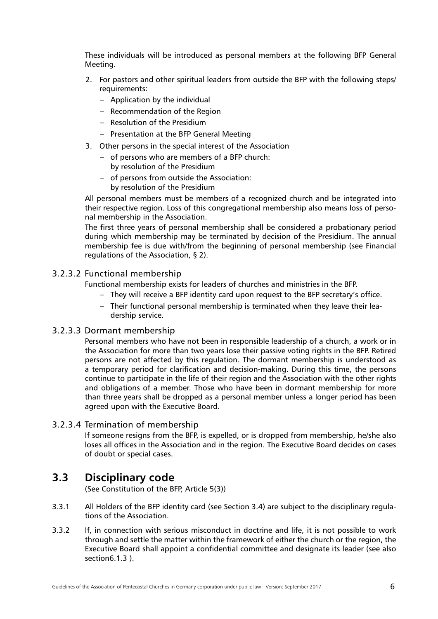<span id="page-5-0"></span>These individuals will be introduced as personal members at the following BFP General Meeting.

- 2. For pastors and other spiritual leaders from outside the BFP with the following steps/ requirements:
	- Application by the individual
	- Recommendation of the Region
	- Resolution of the Presidium
	- Presentation at the BFP General Meeting
- 3. Other persons in the special interest of the Association
	- of persons who are members of a BFP church: by resolution of the Presidium
	- of persons from outside the Association: by resolution of the Presidium

All personal members must be members of a recognized church and be integrated into their respective region. Loss of this congregational membership also means loss of personal membership in the Association.

The first three years of personal membership shall be considered a probationary period during which membership may be terminated by decision of the Presidium. The annual membership fee is due with/from the beginning of personal membership (see Financial regulations of the Association, § 2).

#### 3.2.3.2 Functional membership

Functional membership exists for leaders of churches and ministries in the BFP.

- They will receive a BFP identity card upon request to the BFP secretary's office.
- Their functional personal membership is terminated when they leave their leadership service.

#### 3.2.3.3 Dormant membership

Personal members who have not been in responsible leadership of a church, a work or in the Association for more than two years lose their passive voting rights in the BFP. Retired persons are not affected by this regulation. The dormant membership is understood as a temporary period for clarification and decision-making. During this time, the persons continue to participate in the life of their region and the Association with the other rights and obligations of a member. Those who have been in dormant membership for more than three years shall be dropped as a personal member unless a longer period has been agreed upon with the Executive Board.

#### 3.2.3.4 Termination of membership

If someone resigns from the BFP, is expelled, or is dropped from membership, he/she also loses all offices in the Association and in the region. The Executive Board decides on cases of doubt or special cases.

#### **3.3 Disciplinary code**

(See Constitution of the BFP, Article 5(3))

- 3.3.1 All Holders of the BFP identity card (see Section 3.4) are subject to the disciplinary regulations of the Association.
- 3.3.2 If, in connection with serious misconduct in doctrine and life, it is not possible to work through and settle the matter within the framework of either the church or the region, the Executive Board shall appoint a confidential committee and designate its leader (see also section6.1.3 ).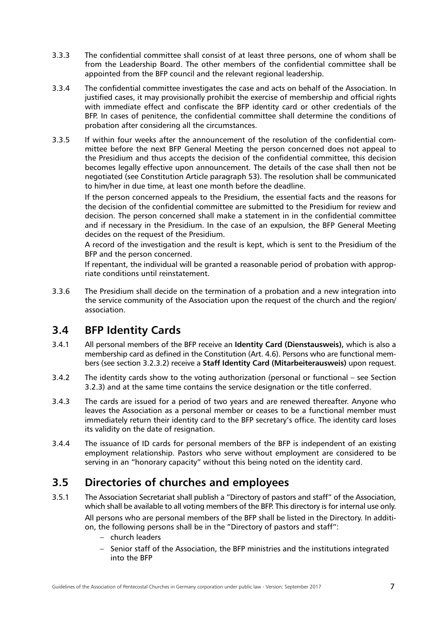- <span id="page-6-0"></span>3.3.3 The confidential committee shall consist of at least three persons, one of whom shall be from the Leadership Board. The other members of the confidential committee shall be appointed from the BFP council and the relevant regional leadership.
- 3.3.4 The confidential committee investigates the case and acts on behalf of the Association. In justified cases, it may provisionally prohibit the exercise of membership and official rights with immediate effect and confiscate the BFP identity card or other credentials of the BFP. In cases of penitence, the confidential committee shall determine the conditions of probation after considering all the circumstances.
- 3.3.5 If within four weeks after the announcement of the resolution of the confidential committee before the next BFP General Meeting the person concerned does not appeal to the Presidium and thus accepts the decision of the confidential committee, this decision becomes legally effective upon announcement. The details of the case shall then not be negotiated (see Constitution Article paragraph 53). The resolution shall be communicated to him/her in due time, at least one month before the deadline.

If the person concerned appeals to the Presidium, the essential facts and the reasons for the decision of the confidential committee are submitted to the Presidium for review and decision. The person concerned shall make a statement in in the confidential committee and if necessary in the Presidium. In the case of an expulsion, the BFP General Meeting decides on the request of the Presidium.

A record of the investigation and the result is kept, which is sent to the Presidium of the BFP and the person concerned.

If repentant, the individual will be granted a reasonable period of probation with appropriate conditions until reinstatement.

3.3.6 The Presidium shall decide on the termination of a probation and a new integration into the service community of the Association upon the request of the church and the region/ association.

## **3.4 BFP Identity Cards**

- 3.4.1 All personal members of the BFP receive an **Identity Card (Dienstausweis),** which is also a membership card as defined in the Constitution (Art. 4.6). Persons who are functional members (see section 3.2.3.2) receive a **Staff Identity Card (Mitarbeiterausweis)** upon request.
- 3.4.2 The identity cards show to the voting authorization (personal or functional see Section 3.2.3) and at the same time contains the service designation or the title conferred.
- 3.4.3 The cards are issued for a period of two years and are renewed thereafter. Anyone who leaves the Association as a personal member or ceases to be a functional member must immediately return their identity card to the BFP secretary's office. The identity card loses its validity on the date of resignation.
- 3.4.4 The issuance of ID cards for personal members of the BFP is independent of an existing employment relationship. Pastors who serve without employment are considered to be serving in an "honorary capacity" without this being noted on the identity card.

## **3.5 Directories of churches and employees**

- 3.5.1 The Association Secretariat shall publish a "Directory of pastors and staff" of the Association, which shall be available to all voting members of the BFP. This directory is for internal use only. All persons who are personal members of the BFP shall be listed in the Directory. In addition, the following persons shall be in the "Directory of pastors and staff":
	- church leaders
	- Senior staff of the Association, the BFP ministries and the institutions integrated into the BFP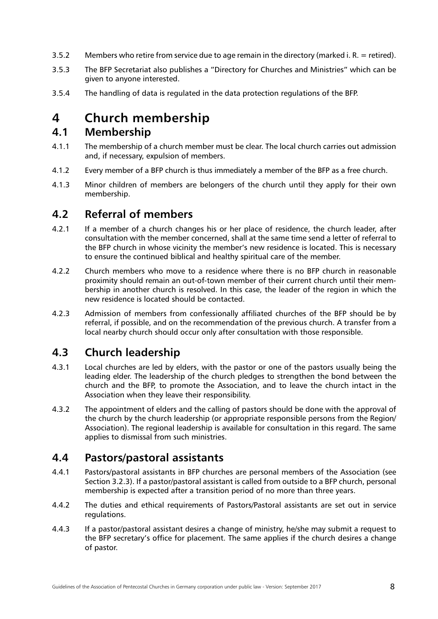- <span id="page-7-0"></span>3.5.2 Members who retire from service due to age remain in the directory (marked i. R. = retired).
- 3.5.3 The BFP Secretariat also publishes a "Directory for Churches and Ministries" which can be given to anyone interested.
- 3.5.4 The handling of data is regulated in the data protection regulations of the BFP.

## **4 Church membership**

### **4.1 Membership**

- 4.1.1 The membership of a church member must be clear. The local church carries out admission and, if necessary, expulsion of members.
- 4.1.2 Every member of a BFP church is thus immediately a member of the BFP as a free church.
- 4.1.3 Minor children of members are belongers of the church until they apply for their own membership.

## **4.2 Referral of members**

- 4.2.1 If a member of a church changes his or her place of residence, the church leader, after consultation with the member concerned, shall at the same time send a letter of referral to the BFP church in whose vicinity the member's new residence is located. This is necessary to ensure the continued biblical and healthy spiritual care of the member.
- 4.2.2 Church members who move to a residence where there is no BFP church in reasonable proximity should remain an out-of-town member of their current church until their membership in another church is resolved. In this case, the leader of the region in which the new residence is located should be contacted.
- 4.2.3 Admission of members from confessionally affiliated churches of the BFP should be by referral, if possible, and on the recommendation of the previous church. A transfer from a local nearby church should occur only after consultation with those responsible.

## **4.3 Church leadership**

- 4.3.1 Local churches are led by elders, with the pastor or one of the pastors usually being the leading elder. The leadership of the church pledges to strengthen the bond between the church and the BFP, to promote the Association, and to leave the church intact in the Association when they leave their responsibility.
- 4.3.2 The appointment of elders and the calling of pastors should be done with the approval of the church by the church leadership (or appropriate responsible persons from the Region/ Association). The regional leadership is available for consultation in this regard. The same applies to dismissal from such ministries.

## **4.4 Pastors/pastoral assistants**

- 4.4.1 Pastors/pastoral assistants in BFP churches are personal members of the Association (see Section 3.2.3). If a pastor/pastoral assistant is called from outside to a BFP church, personal membership is expected after a transition period of no more than three years.
- 4.4.2 The duties and ethical requirements of Pastors/Pastoral assistants are set out in service regulations.
- 4.4.3 If a pastor/pastoral assistant desires a change of ministry, he/she may submit a request to the BFP secretary's office for placement. The same applies if the church desires a change of pastor.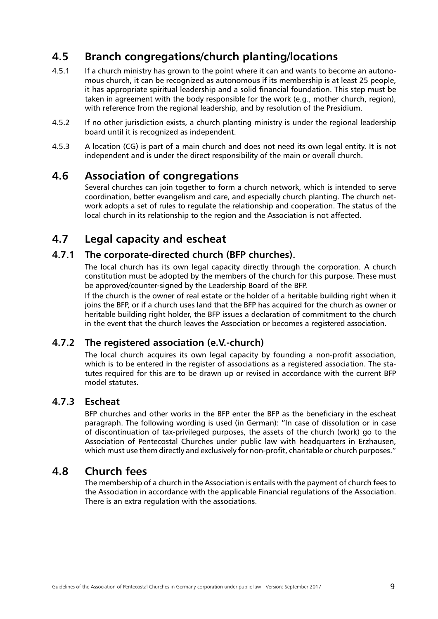## <span id="page-8-0"></span>**4.5 Branch congregations/church planting/locations**

- 4.5.1 If a church ministry has grown to the point where it can and wants to become an autonomous church, it can be recognized as autonomous if its membership is at least 25 people, it has appropriate spiritual leadership and a solid financial foundation. This step must be taken in agreement with the body responsible for the work (e.g., mother church, region), with reference from the regional leadership, and by resolution of the Presidium.
- 4.5.2 If no other jurisdiction exists, a church planting ministry is under the regional leadership board until it is recognized as independent.
- 4.5.3 A location (CG) is part of a main church and does not need its own legal entity. It is not independent and is under the direct responsibility of the main or overall church.

### **4.6 Association of congregations**

Several churches can join together to form a church network, which is intended to serve coordination, better evangelism and care, and especially church planting. The church network adopts a set of rules to regulate the relationship and cooperation. The status of the local church in its relationship to the region and the Association is not affected.

## **4.7 Legal capacity and escheat**

#### **4.7.1 The corporate-directed church (BFP churches).**

The local church has its own legal capacity directly through the corporation. A church constitution must be adopted by the members of the church for this purpose. These must be approved/counter-signed by the Leadership Board of the BFP.

If the church is the owner of real estate or the holder of a heritable building right when it joins the BFP, or if a church uses land that the BFP has acquired for the church as owner or heritable building right holder, the BFP issues a declaration of commitment to the church in the event that the church leaves the Association or becomes a registered association.

#### **4.7.2 The registered association (e.V.-church)**

The local church acquires its own legal capacity by founding a non-profit association, which is to be entered in the register of associations as a registered association. The statutes required for this are to be drawn up or revised in accordance with the current BFP model statutes.

#### **4.7.3 Escheat**

BFP churches and other works in the BFP enter the BFP as the beneficiary in the escheat paragraph. The following wording is used (in German): "In case of dissolution or in case of discontinuation of tax-privileged purposes, the assets of the church (work) go to the Association of Pentecostal Churches under public law with headquarters in Erzhausen, which must use them directly and exclusively for non-profit, charitable or church purposes."

#### **4.8 Church fees**

The membership of a church in the Association is entails with the payment of church fees to the Association in accordance with the applicable Financial regulations of the Association. There is an extra regulation with the associations.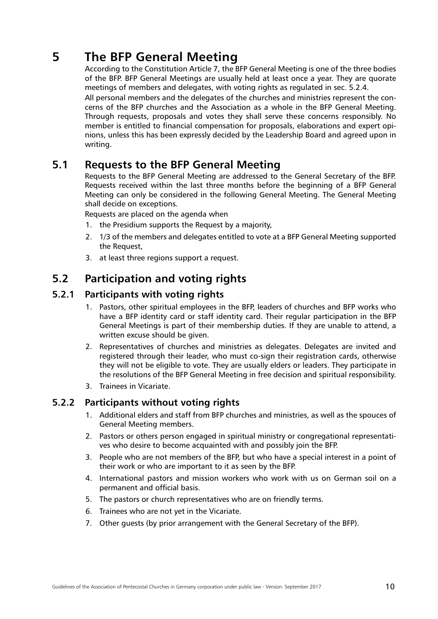# <span id="page-9-0"></span>**5 The BFP General Meeting**

According to the Constitution Article 7, the BFP General Meeting is one of the three bodies of the BFP. BFP General Meetings are usually held at least once a year. They are quorate meetings of members and delegates, with voting rights as regulated in sec. 5.2.4.

All personal members and the delegates of the churches and ministries represent the concerns of the BFP churches and the Association as a whole in the BFP General Meeting. Through requests, proposals and votes they shall serve these concerns responsibly. No member is entitled to financial compensation for proposals, elaborations and expert opinions, unless this has been expressly decided by the Leadership Board and agreed upon in writing.

### **5.1 Requests to the BFP General Meeting**

Requests to the BFP General Meeting are addressed to the General Secretary of the BFP. Requests received within the last three months before the beginning of a BFP General Meeting can only be considered in the following General Meeting. The General Meeting shall decide on exceptions.

Requests are placed on the agenda when

- 1. the Presidium supports the Request by a majority,
- 2. 1/3 of the members and delegates entitled to vote at a BFP General Meeting supported the Request,
- 3. at least three regions support a request.

## **5.2 Participation and voting rights**

#### **5.2.1 Participants with voting rights**

- 1. Pastors, other spiritual employees in the BFP, leaders of churches and BFP works who have a BFP identity card or staff identity card. Their regular participation in the BFP General Meetings is part of their membership duties. If they are unable to attend, a written excuse should be given.
- 2. Representatives of churches and ministries as delegates. Delegates are invited and registered through their leader, who must co-sign their registration cards, otherwise they will not be eligible to vote. They are usually elders or leaders. They participate in the resolutions of the BFP General Meeting in free decision and spiritual responsibility.
- 3. Trainees in Vicariate.

#### **5.2.2 Participants without voting rights**

- 1. Additional elders and staff from BFP churches and ministries, as well as the spouces of General Meeting members.
- 2. Pastors or others person engaged in spiritual ministry or congregational representatives who desire to become acquainted with and possibly join the BFP.
- 3. People who are not members of the BFP, but who have a special interest in a point of their work or who are important to it as seen by the BFP.
- 4. International pastors and mission workers who work with us on German soil on a permanent and official basis.
- 5. The pastors or church representatives who are on friendly terms.
- 6. Trainees who are not yet in the Vicariate.
- 7. Other guests (by prior arrangement with the General Secretary of the BFP).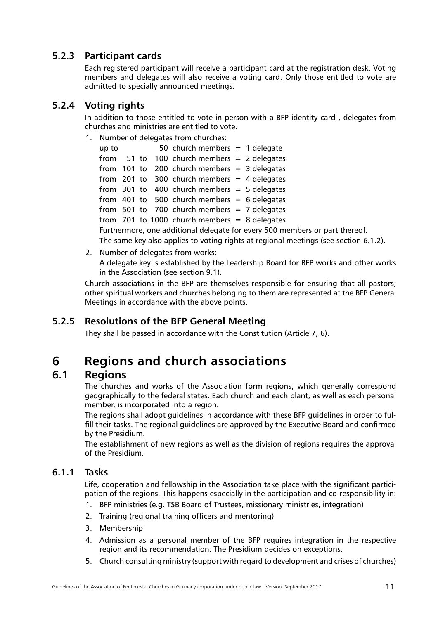#### <span id="page-10-0"></span>**5.2.3 Participant cards**

Each registered participant will receive a participant card at the registration desk. Voting members and delegates will also receive a voting card. Only those entitled to vote are admitted to specially announced meetings.

#### **5.2.4 Voting rights**

In addition to those entitled to vote in person with a BFP identity card , delegates from churches and ministries are entitled to vote.

1. Number of delegates from churches:

| up to                                                                                |  |  |  | 50 church members $= 1$ delegate                 |  |  |  |
|--------------------------------------------------------------------------------------|--|--|--|--------------------------------------------------|--|--|--|
|                                                                                      |  |  |  | from $51$ to $100$ church members = 2 delegates  |  |  |  |
|                                                                                      |  |  |  | from $101$ to $200$ church members = 3 delegates |  |  |  |
|                                                                                      |  |  |  | from 201 to 300 church members $=$ 4 delegates   |  |  |  |
|                                                                                      |  |  |  | from $301$ to $400$ church members = 5 delegates |  |  |  |
|                                                                                      |  |  |  | from 401 to 500 church members $= 6$ delegates   |  |  |  |
|                                                                                      |  |  |  | from $501$ to $700$ church members = 7 delegates |  |  |  |
|                                                                                      |  |  |  | from $701$ to 1000 church members = 8 delegates  |  |  |  |
| Furthermore, one additional delegate for every 500 members or part thereof.          |  |  |  |                                                  |  |  |  |
| The same key also applies to voting rights at regional meetings (see section 6.1.2). |  |  |  |                                                  |  |  |  |

2. Number of delegates from works:

A delegate key is established by the Leadership Board for BFP works and other works in the Association (see section 9.1).

Church associations in the BFP are themselves responsible for ensuring that all pastors, other spiritual workers and churches belonging to them are represented at the BFP General Meetings in accordance with the above points.

#### **5.2.5 Resolutions of the BFP General Meeting**

They shall be passed in accordance with the Constitution (Article 7, 6).

## **6 Regions and church associations**

## **6.1 Regions**

The churches and works of the Association form regions, which generally correspond geographically to the federal states. Each church and each plant, as well as each personal member, is incorporated into a region.

The regions shall adopt guidelines in accordance with these BFP guidelines in order to fulfill their tasks. The regional guidelines are approved by the Executive Board and confirmed by the Presidium.

The establishment of new regions as well as the division of regions requires the approval of the Presidium.

#### **6.1.1 Tasks**

Life, cooperation and fellowship in the Association take place with the significant participation of the regions. This happens especially in the participation and co-responsibility in:

- 1. BFP ministries (e.g. TSB Board of Trustees, missionary ministries, integration)
- 2. Training (regional training officers and mentoring)
- 3. Membership
- 4. Admission as a personal member of the BFP requires integration in the respective region and its recommendation. The Presidium decides on exceptions.
- 5. Church consulting ministry (support with regard to development and crises of churches)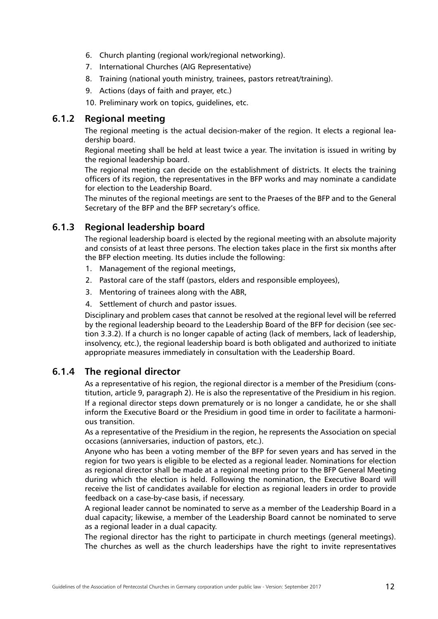- <span id="page-11-0"></span>6. Church planting (regional work/regional networking).
- 7. International Churches (AIG Representative)
- 8. Training (national youth ministry, trainees, pastors retreat/training).
- 9. Actions (days of faith and prayer, etc.)
- 10. Preliminary work on topics, guidelines, etc.

#### **6.1.2 Regional meeting**

The regional meeting is the actual decision-maker of the region. It elects a regional leadership board.

Regional meeting shall be held at least twice a year. The invitation is issued in writing by the regional leadership board.

The regional meeting can decide on the establishment of districts. It elects the training officers of its region, the representatives in the BFP works and may nominate a candidate for election to the Leadership Board.

The minutes of the regional meetings are sent to the Praeses of the BFP and to the General Secretary of the BFP and the BFP secretary's office.

#### **6.1.3 Regional leadership board**

The regional leadership board is elected by the regional meeting with an absolute majority and consists of at least three persons. The election takes place in the first six months after the BFP election meeting. Its duties include the following:

- 1. Management of the regional meetings,
- 2. Pastoral care of the staff (pastors, elders and responsible employees),
- 3. Mentoring of trainees along with the ABR,
- 4. Settlement of church and pastor issues.

Disciplinary and problem cases that cannot be resolved at the regional level will be referred by the regional leadership beoard to the Leadership Board of the BFP for decision (see section 3.3.2). If a church is no longer capable of acting (lack of members, lack of leadership, insolvency, etc.), the regional leadership board is both obligated and authorized to initiate appropriate measures immediately in consultation with the Leadership Board.

#### **6.1.4 The regional director**

As a representative of his region, the regional director is a member of the Presidium (constitution, article 9, paragraph 2). He is also the representative of the Presidium in his region. If a regional director steps down prematurely or is no longer a candidate, he or she shall inform the Executive Board or the Presidium in good time in order to facilitate a harmonious transition.

As a representative of the Presidium in the region, he represents the Association on special occasions (anniversaries, induction of pastors, etc.).

Anyone who has been a voting member of the BFP for seven years and has served in the region for two years is eligible to be elected as a regional leader. Nominations for election as regional director shall be made at a regional meeting prior to the BFP General Meeting during which the election is held. Following the nomination, the Executive Board will receive the list of candidates available for election as regional leaders in order to provide feedback on a case-by-case basis, if necessary.

A regional leader cannot be nominated to serve as a member of the Leadership Board in a dual capacity; likewise, a member of the Leadership Board cannot be nominated to serve as a regional leader in a dual capacity.

The regional director has the right to participate in church meetings (general meetings). The churches as well as the church leaderships have the right to invite representatives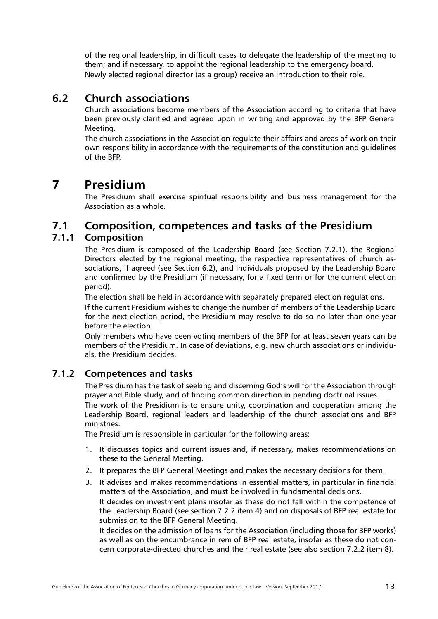<span id="page-12-0"></span>of the regional leadership, in difficult cases to delegate the leadership of the meeting to them; and if necessary, to appoint the regional leadership to the emergency board. Newly elected regional director (as a group) receive an introduction to their role.

## **6.2 Church associations**

Church associations become members of the Association according to criteria that have been previously clarified and agreed upon in writing and approved by the BFP General Meeting.

The church associations in the Association regulate their affairs and areas of work on their own responsibility in accordance with the requirements of the constitution and guidelines of the BFP.

## **7 Presidium**

The Presidium shall exercise spiritual responsibility and business management for the Association as a whole.

## **7.1 Composition, competences and tasks of the Presidium**

#### **7.1.1 Composition**

The Presidium is composed of the Leadership Board (see Section 7.2.1), the Regional Directors elected by the regional meeting, the respective representatives of church associations, if agreed (see Section 6.2), and individuals proposed by the Leadership Board and confirmed by the Presidium (if necessary, for a fixed term or for the current election period).

The election shall be held in accordance with separately prepared election regulations.

If the current Presidium wishes to change the number of members of the Leadership Board for the next election period, the Presidium may resolve to do so no later than one year before the election.

Only members who have been voting members of the BFP for at least seven years can be members of the Presidium. In case of deviations, e.g. new church associations or individuals, the Presidium decides.

#### **7.1.2 Competences and tasks**

The Presidium has the task of seeking and discerning God's will for the Association through prayer and Bible study, and of finding common direction in pending doctrinal issues.

The work of the Presidium is to ensure unity, coordination and cooperation among the Leadership Board, regional leaders and leadership of the church associations and BFP ministries.

The Presidium is responsible in particular for the following areas:

- 1. It discusses topics and current issues and, if necessary, makes recommendations on these to the General Meeting.
- 2. It prepares the BFP General Meetings and makes the necessary decisions for them.
- 3. It advises and makes recommendations in essential matters, in particular in financial matters of the Association, and must be involved in fundamental decisions. It decides on investment plans insofar as these do not fall within the competence of the Leadership Board (see section 7.2.2 item 4) and on disposals of BFP real estate for submission to the BFP General Meeting.

It decides on the admission of loans for the Association (including those for BFP works) as well as on the encumbrance in rem of BFP real estate, insofar as these do not concern corporate-directed churches and their real estate (see also section 7.2.2 item 8).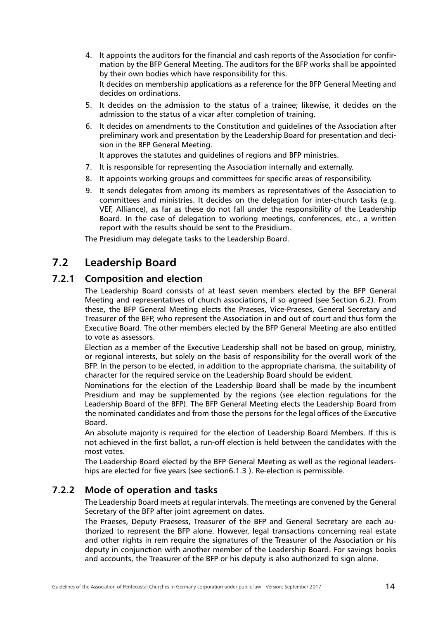- <span id="page-13-0"></span>4. It appoints the auditors for the financial and cash reports of the Association for confirmation by the BFP General Meeting. The auditors for the BFP works shall be appointed by their own bodies which have responsibility for this. It decides on membership applications as a reference for the BFP General Meeting and decides on ordinations.
- 5. It decides on the admission to the status of a trainee; likewise, it decides on the admission to the status of a vicar after completion of training.
- 6. It decides on amendments to the Constitution and guidelines of the Association after preliminary work and presentation by the Leadership Board for presentation and decision in the BFP General Meeting.

It approves the statutes and guidelines of regions and BFP ministries.

- 7. It is responsible for representing the Association internally and externally.
- 8. It appoints working groups and committees for specific areas of responsibility.
- 9. It sends delegates from among its members as representatives of the Association to committees and ministries. It decides on the delegation for inter-church tasks (e.g. VEF, Alliance), as far as these do not fall under the responsibility of the Leadership Board. In the case of delegation to working meetings, conferences, etc., a written report with the results should be sent to the Presidium.

The Presidium may delegate tasks to the Leadership Board.

## **7.2 Leadership Board**

#### **7.2.1 Composition and election**

The Leadership Board consists of at least seven members elected by the BFP General Meeting and representatives of church associations, if so agreed (see Section 6.2). From these, the BFP General Meeting elects the Praeses, Vice-Praeses, General Secretary and Treasurer of the BFP, who represent the Association in and out of court and thus form the Executive Board. The other members elected by the BFP General Meeting are also entitled to vote as assessors.

Election as a member of the Executive Leadership shall not be based on group, ministry, or regional interests, but solely on the basis of responsibility for the overall work of the BFP. In the person to be elected, in addition to the appropriate charisma, the suitability of character for the required service on the Leadership Board should be evident.

Nominations for the election of the Leadership Board shall be made by the incumbent Presidium and may be supplemented by the regions (see election regulations for the Leadership Board of the BFP). The BFP General Meeting elects the Leadership Board from the nominated candidates and from those the persons for the legal offices of the Executive Board.

An absolute majority is required for the election of Leadership Board Members. If this is not achieved in the first ballot, a run-off election is held between the candidates with the most votes.

The Leadership Board elected by the BFP General Meeting as well as the regional leaderships are elected for five years (see section6.1.3 ). Re-election is permissible.

#### **7.2.2 Mode of operation and tasks**

The Leadership Board meets at regular intervals. The meetings are convened by the General Secretary of the BFP after joint agreement on dates.

The Praeses, Deputy Praesess, Treasurer of the BFP and General Secretary are each authorized to represent the BFP alone. However, legal transactions concerning real estate and other rights in rem require the signatures of the Treasurer of the Association or his deputy in conjunction with another member of the Leadership Board. For savings books and accounts, the Treasurer of the BFP or his deputy is also authorized to sign alone.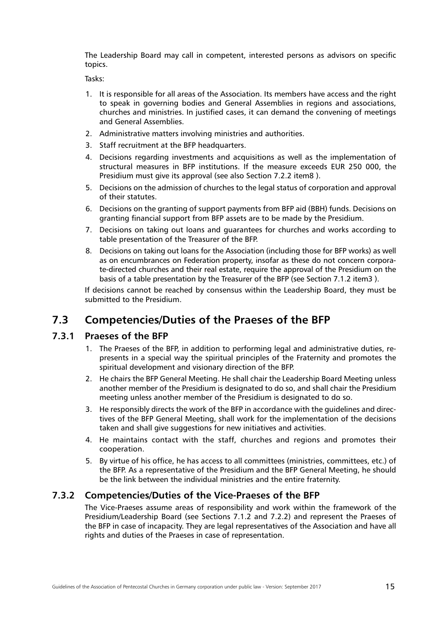<span id="page-14-0"></span>The Leadership Board may call in competent, interested persons as advisors on specific topics.

Tasks:

- 1. It is responsible for all areas of the Association. Its members have access and the right to speak in governing bodies and General Assemblies in regions and associations, churches and ministries. In justified cases, it can demand the convening of meetings and General Assemblies.
- 2. Administrative matters involving ministries and authorities.
- 3. Staff recruitment at the BFP headquarters.
- 4. Decisions regarding investments and acquisitions as well as the implementation of structural measures in BFP institutions. If the measure exceeds EUR 250 000, the Presidium must give its approval (see also Section 7.2.2 item8 ).
- 5. Decisions on the admission of churches to the legal status of corporation and approval of their statutes.
- 6. Decisions on the granting of support payments from BFP aid (BBH) funds. Decisions on granting financial support from BFP assets are to be made by the Presidium.
- 7. Decisions on taking out loans and guarantees for churches and works according to table presentation of the Treasurer of the BFP.
- 8. Decisions on taking out loans for the Association (including those for BFP works) as well as on encumbrances on Federation property, insofar as these do not concern corporate-directed churches and their real estate, require the approval of the Presidium on the basis of a table presentation by the Treasurer of the BFP ([see Section 7.1.2 item3](l ) ).

If decisions cannot be reached by consensus within the Leadership Board, they must be submitted to the Presidium.

## **7.3 Competencies/Duties of the Praeses of the BFP**

#### **7.3.1 Praeses of the BFP**

- 1. The Praeses of the BFP, in addition to performing legal and administrative duties, represents in a special way the spiritual principles of the Fraternity and promotes the spiritual development and visionary direction of the BFP.
- 2. He chairs the BFP General Meeting. He shall chair the Leadership Board Meeting unless another member of the Presidium is designated to do so, and shall chair the Presidium meeting unless another member of the Presidium is designated to do so.
- 3. He responsibly directs the work of the BFP in accordance with the guidelines and directives of the BFP General Meeting, shall work for the implementation of the decisions taken and shall give suggestions for new initiatives and activities.
- 4. He maintains contact with the staff, churches and regions and promotes their cooperation.
- 5. By virtue of his office, he has access to all committees (ministries, committees, etc.) of the BFP. As a representative of the Presidium and the BFP General Meeting, he should be the link between the individual ministries and the entire fraternity.

#### **7.3.2 Competencies/Duties of the Vice-Praeses of the BFP**

The Vice-Praeses assume areas of responsibility and work within the framework of the Presidium/Leadership Board (see Sections 7.1.2 and 7.2.2) and represent the Praeses of the BFP in case of incapacity. They are legal representatives of the Association and have all rights and duties of the Praeses in case of representation.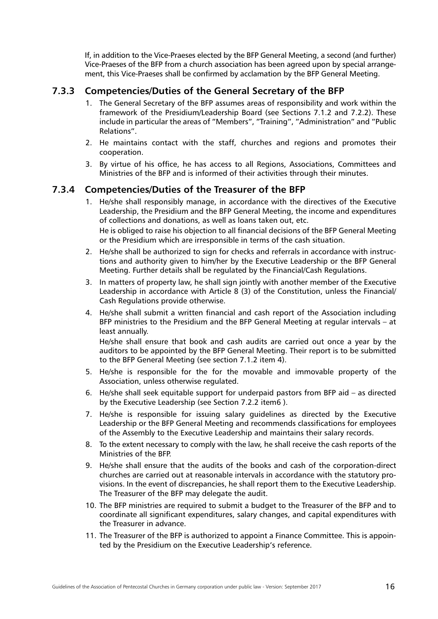<span id="page-15-0"></span>If, in addition to the Vice-Praeses elected by the BFP General Meeting, a second (and further) Vice-Praeses of the BFP from a church association has been agreed upon by special arrangement, this Vice-Praeses shall be confirmed by acclamation by the BFP General Meeting.

#### **7.3.3 Competencies/Duties of the General Secretary of the BFP**

- 1. The General Secretary of the BFP assumes areas of responsibility and work within the framework of the Presidium/Leadership Board (see Sections 7.1.2 and 7.2.2). These include in particular the areas of "Members", "Training", "Administration" and "Public Relations".
- 2. He maintains contact with the staff, churches and regions and promotes their cooperation.
- 3. By virtue of his office, he has access to all Regions, Associations, Committees and Ministries of the BFP and is informed of their activities through their minutes.

#### **7.3.4 Competencies/Duties of the Treasurer of the BFP**

1. He/she shall responsibly manage, in accordance with the directives of the Executive Leadership, the Presidium and the BFP General Meeting, the income and expenditures of collections and donations, as well as loans taken out, etc. He is obliged to raise his objection to all financial decisions of the BFP General Meeting

or the Presidium which are irresponsible in terms of the cash situation.

- 2. He/she shall be authorized to sign for checks and referrals in accordance with instructions and authority given to him/her by the Executive Leadership or the BFP General Meeting. Further details shall be regulated by the Financial/Cash Regulations.
- 3. In matters of property law, he shall sign jointly with another member of the Executive Leadership in accordance with Article 8 (3) of the Constitution, unless the Financial/ Cash Regulations provide otherwise.
- 4. He/she shall submit a written financial and cash report of the Association including BFP ministries to the Presidium and the BFP General Meeting at regular intervals – at least annually.

He/she shall ensure that book and cash audits are carried out once a year by the auditors to be appointed by the BFP General Meeting. Their report is to be submitted to the BFP General Meeting (see section 7.1.2 item 4).

- 5. He/she is responsible for the for the movable and immovable property of the Association, unless otherwise regulated.
- 6. He/she shall seek equitable support for underpaid pastors from BFP aid as directed by the Executive Leadership (see Section 7.2.2 item6 ).
- 7. He/she is responsible for issuing salary guidelines as directed by the Executive Leadership or the BFP General Meeting and recommends classifications for employees of the Assembly to the Executive Leadership and maintains their salary records.
- 8. To the extent necessary to comply with the law, he shall receive the cash reports of the Ministries of the BFP.
- 9. He/she shall ensure that the audits of the books and cash of the corporation-direct churches are carried out at reasonable intervals in accordance with the statutory provisions. In the event of discrepancies, he shall report them to the Executive Leadership. The Treasurer of the BFP may delegate the audit.
- 10. The BFP ministries are required to submit a budget to the Treasurer of the BFP and to coordinate all significant expenditures, salary changes, and capital expenditures with the Treasurer in advance.
- 11. The Treasurer of the BFP is authorized to appoint a Finance Committee. This is appointed by the Presidium on the Executive Leadership's reference.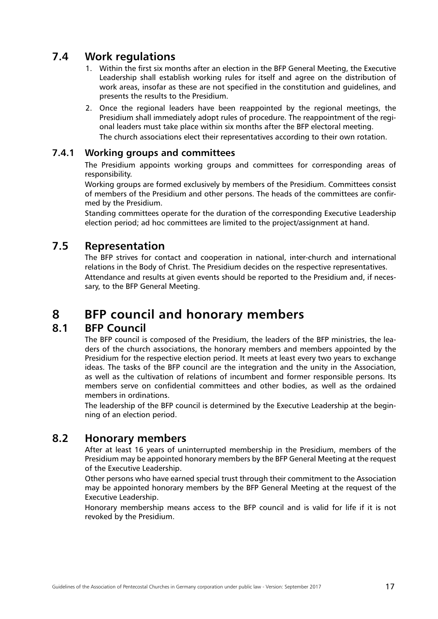## <span id="page-16-0"></span>**7.4 Work regulations**

- 1. Within the first six months after an election in the BFP General Meeting, the Executive Leadership shall establish working rules for itself and agree on the distribution of work areas, insofar as these are not specified in the constitution and guidelines, and presents the results to the Presidium.
- 2. Once the regional leaders have been reappointed by the regional meetings, the Presidium shall immediately adopt rules of procedure. The reappointment of the regional leaders must take place within six months after the BFP electoral meeting. The church associations elect their representatives according to their own rotation.

#### **7.4.1 Working groups and committees**

The Presidium appoints working groups and committees for corresponding areas of responsibility.

Working groups are formed exclusively by members of the Presidium. Committees consist of members of the Presidium and other persons. The heads of the committees are confirmed by the Presidium.

Standing committees operate for the duration of the corresponding Executive Leadership election period; ad hoc committees are limited to the project/assignment at hand.

### **7.5 Representation**

The BFP strives for contact and cooperation in national, inter-church and international relations in the Body of Christ. The Presidium decides on the respective representatives. Attendance and results at given events should be reported to the Presidium and, if necessary, to the BFP General Meeting.

## **8 BFP council and honorary members**

#### **8.1 BFP Council**

The BFP council is composed of the Presidium, the leaders of the BFP ministries, the leaders of the church associations, the honorary members and members appointed by the Presidium for the respective election period. It meets at least every two years to exchange ideas. The tasks of the BFP council are the integration and the unity in the Association, as well as the cultivation of relations of incumbent and former responsible persons. Its members serve on confidential committees and other bodies, as well as the ordained members in ordinations.

The leadership of the BFP council is determined by the Executive Leadership at the beginning of an election period.

## **8.2 Honorary members**

After at least 16 years of uninterrupted membership in the Presidium, members of the Presidium may be appointed honorary members by the BFP General Meeting at the request of the Executive Leadership.

Other persons who have earned special trust through their commitment to the Association may be appointed honorary members by the BFP General Meeting at the request of the Executive Leadership.

Honorary membership means access to the BFP council and is valid for life if it is not revoked by the Presidium.